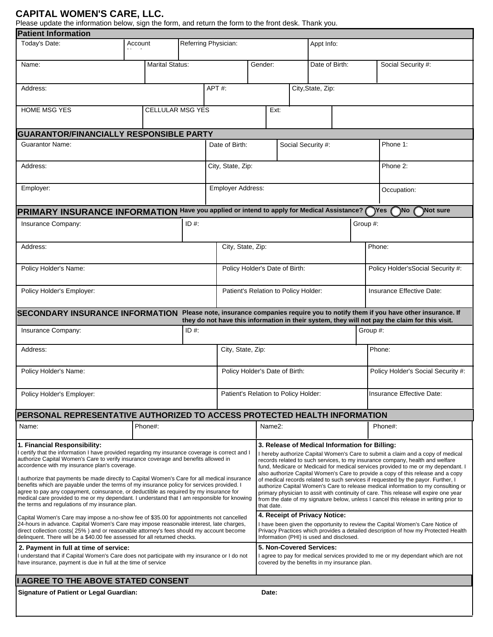## **CAPITAL WOMEN'S CARE, LLC.**

Please update the information below, sign the form, and return the form to the front desk. Thank you.

| <b>Patient Information</b>                                                                                                                                                                                                                                                                                                                                                                                                                                                                                                                                                                                                                                                                                        |         |                         |                      |                          |                                      |                                                                                                                                                                                                                                                                                                                                                                                                                                                                                                                                                                                                                                                                                                                                                                       |            |                    |                |                                    |                                                                                                                                                                                               |  |
|-------------------------------------------------------------------------------------------------------------------------------------------------------------------------------------------------------------------------------------------------------------------------------------------------------------------------------------------------------------------------------------------------------------------------------------------------------------------------------------------------------------------------------------------------------------------------------------------------------------------------------------------------------------------------------------------------------------------|---------|-------------------------|----------------------|--------------------------|--------------------------------------|-----------------------------------------------------------------------------------------------------------------------------------------------------------------------------------------------------------------------------------------------------------------------------------------------------------------------------------------------------------------------------------------------------------------------------------------------------------------------------------------------------------------------------------------------------------------------------------------------------------------------------------------------------------------------------------------------------------------------------------------------------------------------|------------|--------------------|----------------|------------------------------------|-----------------------------------------------------------------------------------------------------------------------------------------------------------------------------------------------|--|
| Today's Date:                                                                                                                                                                                                                                                                                                                                                                                                                                                                                                                                                                                                                                                                                                     | Account |                         | Referring Physician: |                          |                                      |                                                                                                                                                                                                                                                                                                                                                                                                                                                                                                                                                                                                                                                                                                                                                                       | Appt Info: |                    |                |                                    |                                                                                                                                                                                               |  |
| Name:                                                                                                                                                                                                                                                                                                                                                                                                                                                                                                                                                                                                                                                                                                             |         | <b>Marital Status:</b>  |                      |                          | Gender:                              |                                                                                                                                                                                                                                                                                                                                                                                                                                                                                                                                                                                                                                                                                                                                                                       |            |                    | Date of Birth: |                                    | Social Security #:                                                                                                                                                                            |  |
| Address:                                                                                                                                                                                                                                                                                                                                                                                                                                                                                                                                                                                                                                                                                                          |         |                         |                      | APT#:                    |                                      |                                                                                                                                                                                                                                                                                                                                                                                                                                                                                                                                                                                                                                                                                                                                                                       |            | City, State, Zip:  |                |                                    |                                                                                                                                                                                               |  |
| <b>HOME MSG YES</b>                                                                                                                                                                                                                                                                                                                                                                                                                                                                                                                                                                                                                                                                                               |         | <b>CELLULAR MSG YES</b> |                      |                          |                                      | Ext:                                                                                                                                                                                                                                                                                                                                                                                                                                                                                                                                                                                                                                                                                                                                                                  |            |                    |                |                                    |                                                                                                                                                                                               |  |
| <b>GUARANTOR/FINANCIALLY RESPONSIBLE PARTY</b>                                                                                                                                                                                                                                                                                                                                                                                                                                                                                                                                                                                                                                                                    |         |                         |                      |                          |                                      |                                                                                                                                                                                                                                                                                                                                                                                                                                                                                                                                                                                                                                                                                                                                                                       |            |                    |                |                                    |                                                                                                                                                                                               |  |
| <b>Guarantor Name:</b>                                                                                                                                                                                                                                                                                                                                                                                                                                                                                                                                                                                                                                                                                            |         |                         |                      | Date of Birth:           |                                      |                                                                                                                                                                                                                                                                                                                                                                                                                                                                                                                                                                                                                                                                                                                                                                       |            | Social Security #: |                |                                    | Phone 1:                                                                                                                                                                                      |  |
| Address:                                                                                                                                                                                                                                                                                                                                                                                                                                                                                                                                                                                                                                                                                                          |         |                         | City, State, Zip:    |                          |                                      |                                                                                                                                                                                                                                                                                                                                                                                                                                                                                                                                                                                                                                                                                                                                                                       |            |                    | Phone 2:       |                                    |                                                                                                                                                                                               |  |
| Employer:                                                                                                                                                                                                                                                                                                                                                                                                                                                                                                                                                                                                                                                                                                         |         |                         |                      | <b>Employer Address:</b> |                                      |                                                                                                                                                                                                                                                                                                                                                                                                                                                                                                                                                                                                                                                                                                                                                                       |            |                    |                | Occupation:                        |                                                                                                                                                                                               |  |
| PRIMARY INSURANCE INFORMATION Have you applied or intend to apply for Medical Assistance? (                                                                                                                                                                                                                                                                                                                                                                                                                                                                                                                                                                                                                       |         |                         |                      |                          |                                      |                                                                                                                                                                                                                                                                                                                                                                                                                                                                                                                                                                                                                                                                                                                                                                       |            |                    |                |                                    | $\gamma$ Yes<br>`No<br><b>Not sure</b>                                                                                                                                                        |  |
| $ID#$ :<br>Insurance Company:                                                                                                                                                                                                                                                                                                                                                                                                                                                                                                                                                                                                                                                                                     |         |                         |                      |                          |                                      |                                                                                                                                                                                                                                                                                                                                                                                                                                                                                                                                                                                                                                                                                                                                                                       |            |                    | Group #:       |                                    |                                                                                                                                                                                               |  |
| Address:                                                                                                                                                                                                                                                                                                                                                                                                                                                                                                                                                                                                                                                                                                          |         |                         |                      |                          | City, State, Zip:                    |                                                                                                                                                                                                                                                                                                                                                                                                                                                                                                                                                                                                                                                                                                                                                                       |            |                    |                |                                    | Phone:                                                                                                                                                                                        |  |
| Policy Holder's Name:                                                                                                                                                                                                                                                                                                                                                                                                                                                                                                                                                                                                                                                                                             |         |                         |                      |                          | Policy Holder's Date of Birth:       |                                                                                                                                                                                                                                                                                                                                                                                                                                                                                                                                                                                                                                                                                                                                                                       |            |                    |                | Policy Holder's Social Security #: |                                                                                                                                                                                               |  |
| Policy Holder's Employer:                                                                                                                                                                                                                                                                                                                                                                                                                                                                                                                                                                                                                                                                                         |         |                         |                      |                          | Patient's Relation to Policy Holder: |                                                                                                                                                                                                                                                                                                                                                                                                                                                                                                                                                                                                                                                                                                                                                                       |            |                    |                |                                    | Insurance Effective Date:                                                                                                                                                                     |  |
| <b>SECONDARY INSURANCE INFORMATION</b>                                                                                                                                                                                                                                                                                                                                                                                                                                                                                                                                                                                                                                                                            |         |                         |                      |                          |                                      |                                                                                                                                                                                                                                                                                                                                                                                                                                                                                                                                                                                                                                                                                                                                                                       |            |                    |                |                                    | Please note, insurance companies require you to notify them if you have other insurance. If<br>they do not have this information in their system, they will not pay the claim for this visit. |  |
| Insurance Company:                                                                                                                                                                                                                                                                                                                                                                                                                                                                                                                                                                                                                                                                                                |         |                         | $ID#$ :              |                          |                                      |                                                                                                                                                                                                                                                                                                                                                                                                                                                                                                                                                                                                                                                                                                                                                                       |            |                    |                | Group #:                           |                                                                                                                                                                                               |  |
| Address:                                                                                                                                                                                                                                                                                                                                                                                                                                                                                                                                                                                                                                                                                                          |         |                         |                      | City, State, Zip:        |                                      |                                                                                                                                                                                                                                                                                                                                                                                                                                                                                                                                                                                                                                                                                                                                                                       |            |                    |                | Phone:                             |                                                                                                                                                                                               |  |
| Policy Holder's Name:                                                                                                                                                                                                                                                                                                                                                                                                                                                                                                                                                                                                                                                                                             |         |                         |                      |                          | Policy Holder's Date of Birth:       |                                                                                                                                                                                                                                                                                                                                                                                                                                                                                                                                                                                                                                                                                                                                                                       |            |                    |                | Policy Holder's Social Security #: |                                                                                                                                                                                               |  |
| Policy Holder's Employer:                                                                                                                                                                                                                                                                                                                                                                                                                                                                                                                                                                                                                                                                                         |         |                         |                      |                          | Patient's Relation to Policy Holder: |                                                                                                                                                                                                                                                                                                                                                                                                                                                                                                                                                                                                                                                                                                                                                                       |            |                    |                | Insurance Effective Date:          |                                                                                                                                                                                               |  |
| PERSONAL REPRESENTATIVE AUTHORIZED TO ACCESS PROTECTED HEALTH INFORMATION                                                                                                                                                                                                                                                                                                                                                                                                                                                                                                                                                                                                                                         |         |                         |                      |                          |                                      |                                                                                                                                                                                                                                                                                                                                                                                                                                                                                                                                                                                                                                                                                                                                                                       |            |                    |                |                                    |                                                                                                                                                                                               |  |
| Name:                                                                                                                                                                                                                                                                                                                                                                                                                                                                                                                                                                                                                                                                                                             |         | Phone#:                 |                      |                          |                                      | Name <sub>2</sub> :                                                                                                                                                                                                                                                                                                                                                                                                                                                                                                                                                                                                                                                                                                                                                   |            |                    |                |                                    | Phone#:                                                                                                                                                                                       |  |
| 1. Financial Responsibility:<br>I certify that the information I have provided regarding my insurance coverage is correct and I<br>authorize Capital Women's Care to verify insurance coverage and benefits allowed in<br>accordence with my insurance plan's coverage.<br>I authorize that payments be made directly to Capital Women's Care for all medical insurance<br>benefits which are payable under the terms of my insurance policy for services provided. I<br>agree to pay any copayment, coinsurance, or deductible as required by my insurance for<br>medical care provided to me or my dependant. I understand that I am responsible for knowing<br>the terms and regulations of my insurance plan. |         |                         |                      |                          |                                      | 3. Release of Medical Information for Billing:<br>I hereby authorize Capital Women's Care to submit a claim and a copy of medical<br>records related to such services, to my insurance company, health and welfare<br>fund, Medicare or Medicaid for medical services provided to me or my dependant. I<br>also authorize Capital Women's Care to provide a copy of this release and a copy<br>of medical records related to such services if requested by the payor. Further, I<br>authorize Capital Women's Care to release medical information to my consulting or<br>primary physician to assit with continuity of care. This release will expire one year<br>from the date of my signature below, unless I cancel this release in writing prior to<br>that date. |            |                    |                |                                    |                                                                                                                                                                                               |  |
| Capital Women's Care may impose a no-show fee of \$35.00 for appointments not cancelled<br>24-hours in advance. Capital Women's Care may impose reasonable interest, late charges,<br>direct collection costs(25%) and or reasonable attorney's fees should my account become<br>delinquent. There will be a \$40.00 fee assessed for all returned checks.                                                                                                                                                                                                                                                                                                                                                        |         |                         |                      |                          |                                      | 4. Receipt of Privacy Notice:<br>I have been given the opportunity to review the Capital Women's Care Notice of<br>Privacy Practices which provides a detailed description of how my Protected Health<br>Information (PHI) is used and disclosed.                                                                                                                                                                                                                                                                                                                                                                                                                                                                                                                     |            |                    |                |                                    |                                                                                                                                                                                               |  |
| 2. Payment in full at time of service:<br>I understand that if Capital Women's Care does not participate with my insurance or I do not<br>have insurance, payment is due in full at the time of service                                                                                                                                                                                                                                                                                                                                                                                                                                                                                                           |         |                         |                      |                          |                                      | 5. Non-Covered Services:<br>I agree to pay for medical services provided to me or my dependant which are not<br>covered by the benefits in my insurance plan.                                                                                                                                                                                                                                                                                                                                                                                                                                                                                                                                                                                                         |            |                    |                |                                    |                                                                                                                                                                                               |  |
| I AGREE TO THE ABOVE STATED CONSENT                                                                                                                                                                                                                                                                                                                                                                                                                                                                                                                                                                                                                                                                               |         |                         |                      |                          |                                      |                                                                                                                                                                                                                                                                                                                                                                                                                                                                                                                                                                                                                                                                                                                                                                       |            |                    |                |                                    |                                                                                                                                                                                               |  |
| Signature of Patient or Legal Guardian:<br>Date:                                                                                                                                                                                                                                                                                                                                                                                                                                                                                                                                                                                                                                                                  |         |                         |                      |                          |                                      |                                                                                                                                                                                                                                                                                                                                                                                                                                                                                                                                                                                                                                                                                                                                                                       |            |                    |                |                                    |                                                                                                                                                                                               |  |